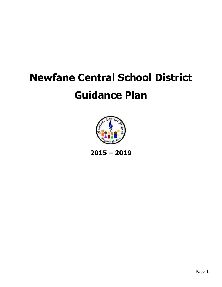# **Newfane Central School District Guidance Plan**



**2015 – 2019**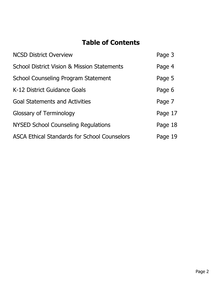# **Table of Contents**

| <b>NCSD District Overview</b>                          | Page 3  |
|--------------------------------------------------------|---------|
| <b>School District Vision &amp; Mission Statements</b> | Page 4  |
| School Counseling Program Statement                    | Page 5  |
| K-12 District Guidance Goals                           | Page 6  |
| <b>Goal Statements and Activities</b>                  | Page 7  |
| <b>Glossary of Terminology</b>                         | Page 17 |
| NYSED School Counseling Regulations                    | Page 18 |
| <b>ASCA Ethical Standards for School Counselors</b>    | Page 19 |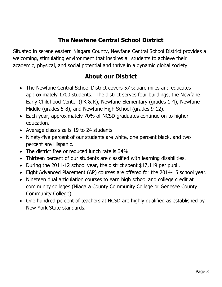# **The Newfane Central School District**

Situated in serene eastern Niagara County, Newfane Central School District provides a welcoming, stimulating environment that inspires all students to achieve their academic, physical, and social potential and thrive in a dynamic global society.

# **About our District**

- The Newfane Central School District covers 57 square miles and educates approximately 1700 students. The district serves four buildings, the Newfane Early Childhood Center (PK & K), Newfane Elementary (grades 1-4), Newfane Middle (grades 5-8), and Newfane High School (grades 9-12).
- Each year, approximately 70% of NCSD graduates continue on to higher education.
- Average class size is 19 to 24 students
- Ninety-five percent of our students are white, one percent black, and two percent are Hispanic.
- The district free or reduced lunch rate is 34%
- Thirteen percent of our students are classified with learning disabilities.
- During the 2011-12 school year, the district spent \$17,119 per pupil.
- Eight Advanced Placement (AP) courses are offered for the 2014-15 school year.
- Nineteen dual articulation courses to earn high school and college credit at community colleges (Niagara County Community College or Genesee County Community College).
- One hundred percent of teachers at NCSD are highly qualified as established by New York State standards.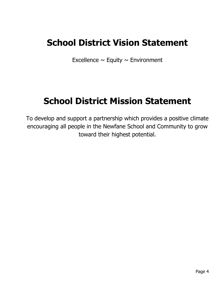# **School District Vision Statement**

Excellence  $\sim$  Equity  $\sim$  Environment

# **School District Mission Statement**

To develop and support a partnership which provides a positive climate encouraging all people in the Newfane School and Community to grow toward their highest potential.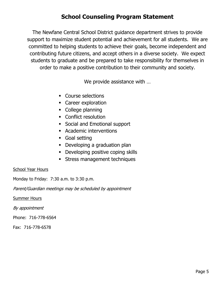# **School Counseling Program Statement**

The Newfane Central School District guidance department strives to provide support to maximize student potential and achievement for all students. We are committed to helping students to achieve their goals, become independent and contributing future citizens, and accept others in a diverse society. We expect students to graduate and be prepared to take responsibility for themselves in order to make a positive contribution to their community and society.

We provide assistance with …

- Course selections
- Career exploration
- College planning
- Conflict resolution
- Social and Emotional support
- Academic interventions
- Goal setting
- Developing a graduation plan
- Developing positive coping skills
- **Stress management techniques**

# School Year Hours

Monday to Friday: 7:30 a.m. to 3:30 p.m.

Parent/Guardian meetings may be scheduled by appointment

Summer Hours

By appointment

Phone: 716-778-6564

Fax: 716-778-6578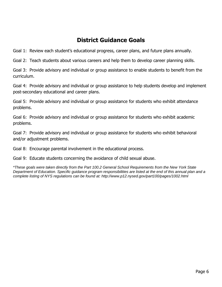# **District Guidance Goals**

Goal 1: Review each student's educational progress, career plans, and future plans annually.

Goal 2: Teach students about various careers and help them to develop career planning skills.

Goal 3: Provide advisory and individual or group assistance to enable students to benefit from the curriculum.

Goal 4: Provide advisory and individual or group assistance to help students develop and implement post-secondary educational and career plans.

Goal 5: Provide advisory and individual or group assistance for students who exhibit attendance problems.

Goal 6: Provide advisory and individual or group assistance for students who exhibit academic problems.

Goal 7: Provide advisory and individual or group assistance for students who exhibit behavioral and/or adjustment problems.

Goal 8: Encourage parental involvement in the educational process.

Goal 9: Educate students concerning the avoidance of child sexual abuse.

*\*These goals were taken directly from the Part 100.2 General School Requirements from the New York State Department of Education. Specific guidance program responsibilities are listed at the end of this annual plan and a complete listing of NYS regulations can be found at: http://www.p12.nysed.gov/part100/pages/1002.html*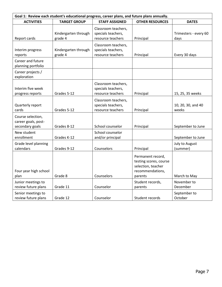| Goal 1: Review each student's educational progress, career plans, and future plans annually. |                                 |                                                                |                                                                                                  |                               |
|----------------------------------------------------------------------------------------------|---------------------------------|----------------------------------------------------------------|--------------------------------------------------------------------------------------------------|-------------------------------|
| <b>ACTIVITIES</b>                                                                            | <b>TARGET GROUP</b>             | <b>STAFF ASSIGNED</b>                                          | <b>OTHER RESOURCES</b>                                                                           | <b>DATES</b>                  |
| Report cards                                                                                 | Kindergarten through<br>grade 4 | Classroom teachers,<br>specials teachers,<br>resource teachers | Principal                                                                                        | Trimesters - every 60<br>days |
| Interim progress<br>reports                                                                  | Kindergarten through<br>grade 4 | Classroom teachers,<br>specials teachers,<br>resource teachers | Principal                                                                                        | Every 30 days                 |
| Career and future<br>planning portfolio                                                      |                                 |                                                                |                                                                                                  |                               |
| Career projects /<br>exploration                                                             |                                 |                                                                |                                                                                                  |                               |
| Interim five week<br>progress reports                                                        | Grades 5-12                     | Classroom teachers,<br>specials teachers,<br>resource teachers | Principal                                                                                        | 15, 25, 35 weeks              |
| Quarterly report<br>cards                                                                    | Grades 5-12                     | Classroom teachers,<br>specials teachers,<br>resource teachers | Principal                                                                                        | 10, 20, 30, and 40<br>weeks   |
| Course selection,<br>career goals, post-<br>secondary goals                                  | Grades 8-12                     | School counselor                                               | Principal                                                                                        | September to June             |
| New student<br>enrollment                                                                    | Grades K-12                     | School counselor<br>and/or principal                           |                                                                                                  | September to June             |
| Grade level planning<br>calendars                                                            | Grades 9-12                     | Counselors                                                     | Principal                                                                                        | July to August<br>(summer)    |
| Four year high school<br>plan                                                                | Grade 8                         | Counselors                                                     | Permanent record,<br>testing scores, course<br>selection, teacher<br>recommendations,<br>parents | March to May                  |
| Junior meetings to<br>review future plans                                                    | Grade 11                        | Counselor                                                      | Student records,<br>parents                                                                      | November to<br>December       |
| Senior meetings to<br>review future plans                                                    | Grade 12                        | Counselor                                                      | Student records                                                                                  | September to<br>October       |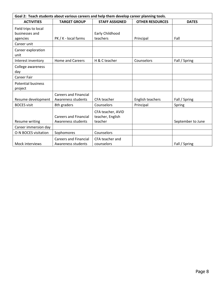| Goal 2: Teach students about various careers and help them develop career planning tools. |                                                    |                                                  |                        |                   |
|-------------------------------------------------------------------------------------------|----------------------------------------------------|--------------------------------------------------|------------------------|-------------------|
| <b>ACTIVITIES</b>                                                                         | <b>TARGET GROUP</b>                                | <b>STAFF ASSIGNED</b>                            | <b>OTHER RESOURCES</b> | <b>DATES</b>      |
| Field trips to local<br>businesses and<br>agencies                                        | PK / K - local farms                               | Early Childhood<br>teachers                      | Principal              | Fall              |
| Career unit                                                                               |                                                    |                                                  |                        |                   |
| Career exploration<br>unit                                                                |                                                    |                                                  |                        |                   |
| Interest inventory                                                                        | <b>Home and Careers</b>                            | H & C teacher                                    | Counselors             | Fall / Spring     |
| College awareness<br>day                                                                  |                                                    |                                                  |                        |                   |
| <b>Career Fair</b>                                                                        |                                                    |                                                  |                        |                   |
| <b>Potential business</b><br>project                                                      |                                                    |                                                  |                        |                   |
| Resume development                                                                        | <b>Careers and Financial</b><br>Awareness students | CFA teacher                                      | English teachers       | Fall / Spring     |
| <b>BOCES visit</b>                                                                        | 8th graders                                        | Counselors                                       | Principal              | Spring            |
| Resume writing                                                                            | <b>Careers and Financial</b><br>Awareness students | CFA teacher, AVID<br>teacher, English<br>teacher |                        | September to June |
| Career immersion day                                                                      |                                                    |                                                  |                        |                   |
| O-N BOCES visitation                                                                      | Sophomores                                         | Counselors                                       |                        |                   |
| Mock interviews                                                                           | <b>Careers and Financial</b><br>Awareness students | CFA teacher and<br>counselors                    |                        | Fall / Spring     |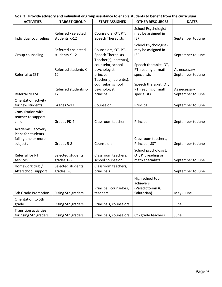| Goal 3: Provide advisory and individual or group assistance to enable students to benefit from the curriculum. |                                      |                                                                           |                                                                 |                                   |
|----------------------------------------------------------------------------------------------------------------|--------------------------------------|---------------------------------------------------------------------------|-----------------------------------------------------------------|-----------------------------------|
| <b>ACTIVITIES</b>                                                                                              | <b>TARGET GROUP</b>                  | <b>STAFF ASSIGNED</b>                                                     | <b>OTHER RESOURCES</b>                                          | <b>DATES</b>                      |
| Individual counseling                                                                                          | Referred / selected<br>students K-12 | Counselors, OT, PT,<br><b>Speech Therapists</b>                           | School Psychologist -<br>may be assigned in<br><b>IEP</b>       | September to June                 |
| Group counseling                                                                                               | Referred / selected<br>students K-12 | Counselors, OT, PT,<br><b>Speech Therapists</b>                           | School Psychologist -<br>may be assigned in<br><b>IEP</b>       | September to June                 |
| Referral to SST                                                                                                | Referred students K-<br>12           | Teacher(s), parent(s),<br>counselor, school<br>psychologist,<br>principal | Speech therapist, OT,<br>PT, reading or math<br>specialists     | As necessary<br>September to June |
| Referral to CSE                                                                                                | Referred students K-<br>12           | Teacher(s), parent(s),<br>counselor, school<br>psychologist,<br>principal | Speech therapist, OT,<br>PT, reading or math<br>specialists     | As necessary<br>September to June |
| Orientation activity<br>for new students                                                                       | Grades 5-12                          | Counselor                                                                 | Principal                                                       | September to June                 |
| Consultation with<br>teacher to support<br>child                                                               | Grades PK-4                          | Classroom teacher                                                         | Principal                                                       | September to June                 |
| <b>Academic Recovery</b><br>Plans for students<br>failing one or more<br>subjects                              | Grades 5-8                           | Counselors                                                                | Classroom teachers,<br>Principal, SST                           | September to June                 |
| Referral for RTI<br>services                                                                                   | Selected students<br>grades K-8      | Classroom teachers,<br>school counselor                                   | School psychologist,<br>OT, PT, reading or<br>math specialists  | September to June                 |
| Homework club /<br>Afterschool support                                                                         | Selected students<br>grades 5-8      | Classroom teachers,<br>principals                                         |                                                                 | September to June                 |
| 5th Grade Promotion                                                                                            | Rising 5th graders                   | Principal, counselors,<br>teachers                                        | High school top<br>achievers<br>(Valedictorian &<br>Salutorian) | May - June                        |
| Orientation to 6th<br>grade                                                                                    | Rising 5th graders                   | Principals, counselors                                                    |                                                                 | June                              |
| <b>Transition activities</b><br>for rising 5th graders                                                         | Rising 5th graders                   | Principals, counselors                                                    | 6th grade teachers                                              | June                              |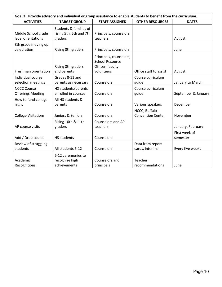| Goal 3: Provide advisory and individual or group assistance to enable students to benefit from the curriculum. |                                                              |                                                                                     |                                           |                           |
|----------------------------------------------------------------------------------------------------------------|--------------------------------------------------------------|-------------------------------------------------------------------------------------|-------------------------------------------|---------------------------|
| <b>ACTIVITIES</b>                                                                                              | <b>TARGET GROUP</b>                                          | <b>STAFF ASSIGNED</b>                                                               | <b>OTHER RESOURCES</b>                    | <b>DATES</b>              |
| Middle School grade<br>level orientations                                                                      | Students & families of<br>rising 5th, 6th and 7th<br>graders | Principals, counselors,<br>teachers                                                 |                                           | August                    |
| 8th grade moving up<br>celebration                                                                             | Rising 8th graders                                           | Principals, counselors                                                              |                                           | June                      |
| Freshman orientation                                                                                           | Rising 8th graders<br>and parents                            | Principals, counselors,<br><b>School Resource</b><br>Officer, faculty<br>volunteers | Office staff to assist                    | August                    |
| Individual course<br>selection meetings                                                                        | Grades 8-11 and<br>parents as necessary                      | Counselors                                                                          | Course curriculum<br>guide                | January to March          |
| <b>NCCC Course</b><br><b>Offerings Meeting</b>                                                                 | HS students/parents<br>enrolled in courses                   | Counselors                                                                          | Course curriculum<br>guide                | September & January       |
| How to fund college<br>night                                                                                   | All HS students &<br>parents                                 | Counselors                                                                          | Various speakers                          | December                  |
| <b>College Visitations</b>                                                                                     | Juniors & Seniors                                            | Counselors                                                                          | NCCC, Buffalo<br><b>Convention Center</b> | November                  |
| AP course visits                                                                                               | Rising 10th & 11th<br>graders                                | Counselors and AP<br>teachers                                                       |                                           | January, February         |
| Add / Drop course                                                                                              | HS students                                                  | Counselors                                                                          |                                           | First week of<br>semester |
| Review of struggling<br>students                                                                               | All students 6-12                                            | Counselors                                                                          | Data from report<br>cards, interims       | Every five weeks          |
| Academic<br>Recognitions                                                                                       | 6-12 ceremonies to<br>recognize high<br>achievements         | Counselors and<br>principals                                                        | Teacher<br>recommendations                | June                      |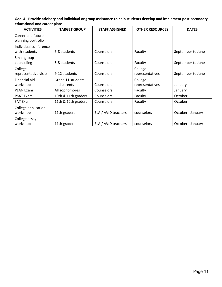| educational and career plans.           |                                  |                       | Goal 4: Provide advisory and individual or group assistance to help students develop and implement post-secondary |                   |
|-----------------------------------------|----------------------------------|-----------------------|-------------------------------------------------------------------------------------------------------------------|-------------------|
| <b>ACTIVITIES</b>                       | <b>TARGET GROUP</b>              | <b>STAFF ASSIGNED</b> | <b>OTHER RESOURCES</b>                                                                                            | <b>DATES</b>      |
| Career and future<br>planning portfolio |                                  |                       |                                                                                                                   |                   |
| Individual conference<br>with students  | 5-8 students                     | Counselors            | Faculty                                                                                                           | September to June |
| Small group<br>counseling               | 5-8 students                     | Counselors            | Faculty                                                                                                           | September to June |
| College<br>representative visits        | 9-12 students                    | Counselors            | College<br>representatives                                                                                        | September to June |
| Financial aid<br>workshop               | Grade 11 students<br>and parents | Counselors            | College<br>representatives                                                                                        | January           |
| <b>PLAN Exam</b>                        | All sophomores                   | Counselors            | Faculty                                                                                                           | January           |
| <b>PSAT Exam</b>                        | 10th & 11th graders              | Counselors            | Faculty                                                                                                           | October           |
| <b>SAT Exam</b>                         | 11th & 12th graders              | Counselors            | Faculty                                                                                                           | October           |
| College application<br>workshop         | 11th graders                     | ELA / AVID teachers   | counselors                                                                                                        | October - January |
| College essay<br>workshop               | 11th graders                     | ELA / AVID teachers   | counselors                                                                                                        | October - January |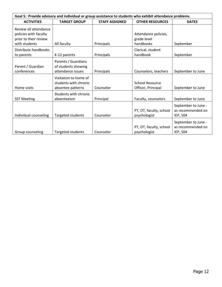| Goal 5: Provide advisory and individual or group assistance to students who exhibit attendance problems. |                                                                     |                       |                                              |                                                      |
|----------------------------------------------------------------------------------------------------------|---------------------------------------------------------------------|-----------------------|----------------------------------------------|------------------------------------------------------|
| <b>ACTIVITIES</b>                                                                                        | <b>TARGET GROUP</b>                                                 | <b>STAFF ASSIGNED</b> | <b>OTHER RESOURCES</b>                       | <b>DATES</b>                                         |
| Review all attendance<br>policies with faculty<br>prior to their review                                  |                                                                     |                       | Attendance policies,<br>grade level          |                                                      |
| with students                                                                                            | All faculty                                                         | Principals            | handbooks                                    | September                                            |
| Distribute handbooks<br>to parents                                                                       | K-12 parents                                                        | Principals            | Clerical, student<br>handbook                | September                                            |
| Parent / Guardian<br>conferences                                                                         | Parents / Guardians<br>of students showing<br>attendance issues     | Principals            | Counselors, teachers                         | September to June                                    |
| Home visits                                                                                              | Visitation to home of<br>students with chronic<br>absentee patterns | Counselor             | <b>School Resource</b><br>Officer, Principal | September to June                                    |
| <b>SST Meeting</b>                                                                                       | Students with chronic<br>absenteeism                                | Principal             | Faculty, counselors                          | September to June                                    |
| Individual counseling                                                                                    | Targeted students                                                   | Counselor             | PT, OT, faculty, school<br>psychologist      | September to June -<br>as recommended on<br>IEP, 504 |
| Group counseling                                                                                         | Targeted students                                                   | Counselor             | PT, OT, faculty, school<br>psychologist      | September to June -<br>as recommended on<br>IEP, 504 |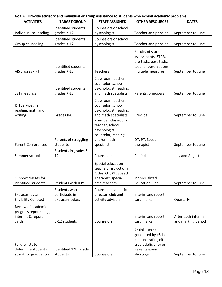| Goal 6: Provide advisory and individual or group assistance to students who exhibit academic problems. |                                                    |                                                                                                             |                                                                                                                      |                                          |
|--------------------------------------------------------------------------------------------------------|----------------------------------------------------|-------------------------------------------------------------------------------------------------------------|----------------------------------------------------------------------------------------------------------------------|------------------------------------------|
| <b>ACTIVITIES</b>                                                                                      | <b>TARGET GROUP</b>                                | <b>STAFF ASSIGNED</b>                                                                                       | <b>OTHER RESOURCES</b>                                                                                               | <b>DATES</b>                             |
| Individual counseling                                                                                  | Identified students<br>grades K-12                 | Counselors or school<br>pyschologist                                                                        | Teacher and principal                                                                                                | September to June                        |
| Group counseling                                                                                       | Identified students<br>grades K-12                 | Counselors or school<br>pyschologist                                                                        | Teacher and principal                                                                                                | September to June                        |
| AIS classes / RTI                                                                                      | Identified students<br>grades K-12                 | <b>Teachers</b>                                                                                             | Results of state<br>assessments, STAR,<br>pre-tests, post-tests,<br>teacher observations,<br>multiple measures       | September to June                        |
| <b>SST meetings</b>                                                                                    | Identified students<br>grades K-12                 | Classroom teacher,<br>counselor, school<br>psychologist, reading<br>and math specialists                    | Parents, principals                                                                                                  | September to June                        |
| RTI Services in<br>reading, math and<br>writing                                                        | Grades K-8                                         | Classroom teacher,<br>counselor, school<br>psychologist, reading<br>and math specialists                    | Principal                                                                                                            | September to June                        |
| <b>Parent Conferences</b>                                                                              | Parents of struggling<br>students                  | Principal, classroom<br>teacher, school<br>psychologist,<br>counselor, reading<br>and/or math<br>specialist | OT, PT, Speech<br>therapist                                                                                          | September to June                        |
| Summer school                                                                                          | Students in grades 5-<br>12                        | Counselors                                                                                                  | Clerical                                                                                                             | July and August                          |
| Support classes for<br>identified students                                                             | <b>Students with IEPs</b>                          | Special education<br>teacher, Instructional<br>Aides, OT, PT, Speech<br>Therapist, special<br>area teachers | Individualized<br><b>Education Plan</b>                                                                              | September to June                        |
| Extracurricular<br><b>Eligibility Contract</b>                                                         | Students who<br>participate in<br>extracurriculars | Counselors, athletic<br>director, club and<br>activity advisors                                             | Interim and report<br>card marks                                                                                     | Quarterly                                |
| Review of academic<br>progress reports (e.g.,<br>interims & report<br>cards)                           | 5-12 students                                      | Counselors                                                                                                  | Interim and report<br>card marks                                                                                     | After each interim<br>and marking period |
| Failure lists to<br>determine students<br>at risk for graduation                                       | Identified 12th grade<br>students                  | Counselors                                                                                                  | At risk lists as<br>generated by eSchool<br>demonstrating either<br>credit deficiency or<br>Regents exam<br>shortage | September to June                        |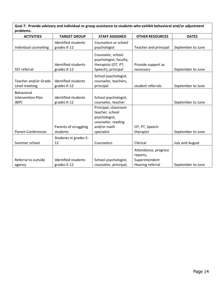**Goal 7: Provide advisory and individual or group assistance to students who exhibit behavioral and/or adjustment problems.**

| <b>ACTIVITIES</b>                               | <b>TARGET GROUP</b>                       | <b>STAFF ASSIGNED</b>                                                                                       | <b>OTHER RESOURCES</b>                                                 | <b>DATES</b>      |
|-------------------------------------------------|-------------------------------------------|-------------------------------------------------------------------------------------------------------------|------------------------------------------------------------------------|-------------------|
| Individual counseling                           | Identified students<br>grades K-12        | Counselors or school<br>psychologist                                                                        | Teacher and principal                                                  | September to June |
| SST referral                                    | <b>Identified students</b><br>grades K-12 | Counselor, school<br>psychologist, faculty,<br>therapists (OT, PT,<br>Speech), principal                    | Provide support as<br>necessary                                        | September to June |
| Teacher and/or Grade<br>Level meeting           | <b>Identified students</b><br>grades K-12 | School psychologist,<br>counselor, teachers,<br>principal                                                   | student referrals                                                      | September to June |
| Behavioral<br><b>Intervention Plan</b><br>(BIP) | <b>Identified students</b><br>grades K-12 | School psychologist,<br>counselor, teacher                                                                  |                                                                        | September to June |
| <b>Parent Conferences</b>                       | Parents of struggling<br>students         | Principal, classroom<br>teacher, school<br>psychologist,<br>counselor, reading<br>and/or math<br>specialist | OT, PT, Speech<br>therapist                                            | September to June |
| Summer school                                   | Students in grades 5-<br>12               | Counselors                                                                                                  | Clerical                                                               | July and August   |
| Referral to outside<br>agency                   | <b>Identified students</b><br>grades K-12 | School psychologist,<br>counselor, principal,                                                               | Attendance, progress<br>reports,<br>Superintendent<br>Hearing referral | September to June |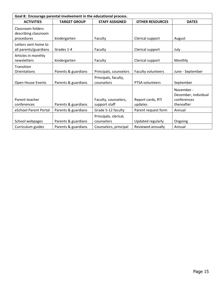| Goal 8: Encourage parental involvement in the educational process. |                     |                                       |                              |                                                                 |  |
|--------------------------------------------------------------------|---------------------|---------------------------------------|------------------------------|-----------------------------------------------------------------|--|
| <b>ACTIVITIES</b>                                                  | <b>TARGET GROUP</b> | <b>STAFF ASSIGNED</b>                 | <b>OTHER RESOURCES</b>       | <b>DATES</b>                                                    |  |
| <b>Classroom folders</b><br>describing classroom<br>procedures     | kindergarten        | Faculty                               | Clerical support             | August                                                          |  |
| Letters sent home to<br>all parents/guardians                      | Grades 1-4          | Faculty                               | Clerical support             | July                                                            |  |
| Articles in monthly<br>newsletters                                 | kindergarten        | Faculty                               | Clerical support             | Monthly                                                         |  |
| Transition<br><b>Orientations</b>                                  | Parents & guardians | Principals, counselors                | <b>Faculty volunteers</b>    | June - September                                                |  |
| Open House Events                                                  | Parents & guardians | Principals, faculty,<br>counselors    | PTSA volunteers              | September                                                       |  |
| Parent-teacher<br>conferences                                      | Parents & guardians | Faculty, counselors,<br>support staff | Report cards, RTI<br>updates | November -<br>December, individual<br>conferences<br>thereafter |  |
| eSchool Parent Portal                                              | Parents & guardians | Grade 5-12 faculty                    | Parent request form          | Annual                                                          |  |
| School webpages                                                    | Parents & guardians | Principals, clerical,<br>counselors   | Updated regularly            | Ongoing                                                         |  |
| Curriculum guides                                                  | Parents & guardians | Counselors, principal                 | Reviewed annually            | Annual                                                          |  |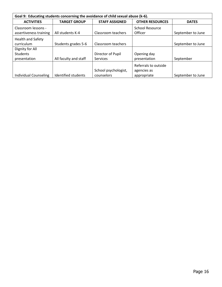| Goal 9: Educating students concerning the avoidance of child sexual abuse (k-6). |                       |                                      |                                                    |                   |  |
|----------------------------------------------------------------------------------|-----------------------|--------------------------------------|----------------------------------------------------|-------------------|--|
| <b>ACTIVITIES</b>                                                                | <b>TARGET GROUP</b>   | <b>STAFF ASSIGNED</b>                | <b>OTHER RESOURCES</b>                             | <b>DATES</b>      |  |
| Classroom lessons -<br>assertiveness training                                    | All students K-4      | Classroom teachers                   | School Resource<br>Officer                         | September to June |  |
| Health and Safety<br>curriculum                                                  | Students grades 5-6   | Classroom teachers                   |                                                    | September to June |  |
| Dignity for All<br><b>Students</b><br>presentation                               | All faculty and staff | Director of Pupil<br><b>Services</b> | Opening day<br>presentation                        | September         |  |
| <b>Individual Counseling</b>                                                     | Identified students   | School psychologist,<br>counselors   | Referrals to outside<br>agencies as<br>appropriate | September to June |  |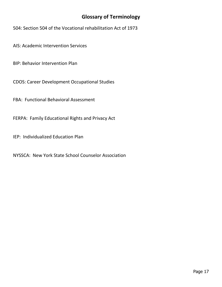# **Glossary of Terminology**

504: Section 504 of the Vocational rehabilitation Act of 1973

AIS: Academic Intervention Services

BIP: Behavior Intervention Plan

CDOS: Career Development Occupational Studies

FBA: Functional Behavioral Assessment

FERPA: Family Educational Rights and Privacy Act

IEP: Individualized Education Plan

NYSSCA: New York State School Counselor Association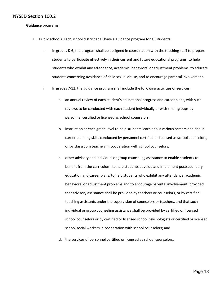# NYSED Section 100.2

#### **Guidance programs**

- 1. Public schools. Each school district shall have a guidance program for all students.
	- i. In grades K-6, the program shall be designed in coordination with the teaching staff to prepare students to participate effectively in their current and future educational programs, to help students who exhibit any attendance, academic, behavioral or adjustment problems, to educate students concerning avoidance of child sexual abuse, and to encourage parental involvement.
	- ii. In grades 7-12, the guidance program shall include the following activities or services:
		- a. an annual review of each student's educational progress and career plans, with such reviews to be conducted with each student individually or with small groups by personnel certified or licensed as school counselors;
		- b. instruction at each grade level to help students learn about various careers and about career planning skills conducted by personnel certified or licensed as school counselors, or by classroom teachers in cooperation with school counselors;
		- c. other advisory and individual or group counseling assistance to enable students to benefit from the curriculum, to help students develop and implement postsecondary education and career plans, to help students who exhibit any attendance, academic, behavioral or adjustment problems and to encourage parental involvement, provided that advisory assistance shall be provided by teachers or counselors, or by certified teaching assistants under the supervision of counselors or teachers, and that such individual or group counseling assistance shall be provided by certified or licensed school counselors or by certified or licensed school psychologists or certified or licensed school social workers in cooperation with school counselors; and
		- d. the services of personnel certified or licensed as school counselors.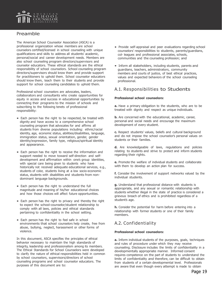

# Preamble

The American School Counselor Association (ASCA) is a professional organization whose members are school counselors certified/licensed in school counseling with unique qualifications and skills to address all students' academic, personal/social and career development needs. Members are also school counseling program directors/supervisors and counselor educators. These ethical standards are the ethical responsibility of school counselors. School counseling program directors/supervisors should know them and provide support for practitioners to uphold them. School counselor educators should know them, teach them to their students and provide support for school counseling candidates to uphold them.

Professional school counselors are advocates, leaders, collaborators and consultants who create opportunities for equity in access and success in educational opportunities by connecting their programs to the mission of schools and subscribing to the following tenets of professional responsibility:

- Each person has the right to be respected, be treated with dignity and have access to a comprehensive school counseling program that advocates for and affirms all students from diverse populations including: ethnic/racial identity, age, economic status, abilities/disabilities, language, immigration status, sexual orientation, gender, gender identity/expression, family type, religious/spiritual identity and appearance.
- Each person has the right to receive the information and support needed to move toward self-direction and selfdevelopment and affirmation within one's group identities, with special care being given to students who have historically not received adequate educational services, e.g., students of color, students living at a low socio-economic status, students with disabilities and students from nondominant language backgrounds.
- Each person has the right to understand the full magnitude and meaning of his/her educational choices and how those choices will affect future opportunities.
- Each person has the right to privacy and thereby the right to expect the school-counselor/student relationship to comply with all laws, policies and ethical standards pertaining to confidentiality in the school setting.
- Each person has the right to feel safe in school environments that school counselors help create, free from abuse, bullying, neglect, harassment or other forms of violence.

In this document, ASCA specifies the principles of ethical behavior necessary to maintain the high standards of integrity, leadership and professionalism among its members. The Ethical Standards for School Counselors were developed to clarify the nature of ethical responsibilities held in common by school counselors, supervisors/directors of school counseling programs and school counselor educators. The purposes of this document are to:

- Provide self-appraisal and peer evaluations regarding school counselors' responsibilities to students, parents/guardians, col- leagues and professional associates, schools, communities and the counseling profession; and
- Inform all stakeholders, including students, parents and guardians, teachers, administrators, community members and courts of justice, of best ethical practices, values and expected behaviors of the school counseling professional.

# A.1. Responsibilities to Students

#### **Professional school counselors:**

**a.** Have a primary obligation to the students, who are to be treated with dignity and respect as unique individuals.

**b.** Are concerned with the educational, academic, career, personal and social needs and encourage the maximum development of every student.

**c.** Respect students' values, beliefs and cultural background and do not impose the school counselor's personal values on students or their families.

**d.** Are knowledgeable of laws, regulations and policies relating to students and strive to protect and inform students regarding their rights.

**e.** Promote the welfare of individual students and collaborate with them to develop an action plan for success.

**f.** Consider the involvement of support networks valued by the individual students.

**g.** Understand that professional distance with students is appropriate, and any sexual or romantic relationship with students whether illegal in the state of practice is considered a grievous breach of ethics and is prohibited regardless of a student's age.

**h.** Consider the potential for harm before entering into a relationship with former students or one of their family members.

# A.2. Confidentiality

#### **Professional school counselors:**

**a.** Inform individual students of the purposes, goals, techniques and rules of procedure under which they may receive counseling. Disclosure includes the limits of confidentiality in a developmentally appropriate manner. Informed consent requires competence on the part of students to understand the limits of confidentiality and therefore, can be difficult to obtain from students of a certain developmental level. Professionals are aware that even though every attempt is made to obtain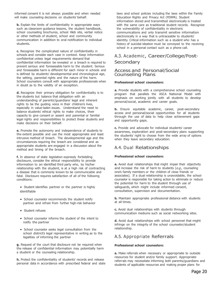informed consent it is not always possible and when needed will make counseling decisions on students' behalf.

**b.** Explain the limits of confidentiality in appropriate ways such as classroom guidance lessons, the student handbook, school counseling brochures, school Web site, verbal notice or other methods of student, school and community communication in addition to oral notification to individual students.

**c.** Recognize the complicated nature of confidentiality in schools and consider each case in context. Keep information confidential unless legal requirements demand that confidential information be revealed or a breach is required to prevent serious and foreseeable harm to the student. Serious and foreseeable harm is different for each minor in schools and is defined by students' developmental and chronological age, the setting, parental rights and the nature of the harm. School counselors consult with appropriate professionals when in doubt as to the validity of an exception.

**d.** Recognize their primary obligation for confidentiality is to the students but balance that obligation with an understanding of parents'/guardians' legal and inherent rights to be the guiding voice in their children's lives, especially in value-laden issues. Understand the need to balance students' ethical rights to make choices, their capacity to give consent or assent and parental or familial legal rights and responsibilities to protect these students and make decisions on their behalf.

**e.** Promote the autonomy and independence of students to the extent possible and use the most appropriate and least intrusive method of breach. The developmental age and the circumstances requiring the breach are considered and as appropriate students are engaged in a discussion about the method and timing of the breach.

**f.** In absence of state legislation expressly forbidding disclosure, consider the ethical responsibility to provide information to an identified third party who, by his/her relationship with the student, is at a high risk of contracting a disease that is commonly known to be communicable and fatal. Disclosure requires satisfaction of all of the following conditions:

- Student identifies partner or the partner is highly identifiable
- School counselor recommends the student notify partner and refrain from further high-risk behavior
- Student refuses
- School counselor informs the student of the intent to notify the partner
- School counselor seeks legal consultation from the school district's legal representative in writing as to the legalities of informing the partner

**g.** Request of the court that disclosure not be required when the release of confidential information may potentially harm a student or the counseling relationship.

**h.** Protect the confidentiality of students' records and release personal data in accordance with prescribed federal and state

laws and school policies including the laws within the Family Education Rights and Privacy Act (FERPA). Student information stored and transmitted electronically is treated with the same care as traditional student records. Recognize the vulnerability of confidentiality in electronic communications and only transmit sensitive information electronically in a way that is untraceable to students' identity. Critical information such as a student who has a history of suicidal ideation must be conveyed to the receiving school in a personal contact such as a phone call.

# A.3. Academic, Career/College/Post-Secondary

#### Access and Personal/Social Counseling Plans

#### **Professional school counselors:**

**a.** Provide students with a comprehensive school counseling program that parallels the ASCA National Model with emphasis on working jointly with all students to develop personal/social, academic and career goals.

**b.** Ensure equitable academic, career, post-secondary access and personal/social opportunities for all students through the use of data to help close achievement gaps and opportunity gaps.

**c.** Provide and advocate for individual students' career awareness, exploration and post-secondary plans supporting the students' right to choose from the wide array of options when they leave secondary education.

# A.4. Dual Relationships

#### **Professional school counselors:**

**a.** Avoid dual relationships that might impair their objectivity and increase the risk of harm to students  $(e.g.,$  counseling one's family members or the children of close friends or associates). If a dual relationship is unavoidable, the school counselor is responsible for taking action to eliminate or reduce the potential for harm to the student through use of safeguards, which might include informed consent, consultation, supervision and documentation.

**b.** Maintain appropriate professional distance with students at all times.

**c.** Avoid dual relationships with students through communication mediums such as social networking sites.

**d.** Avoid dual relationships with school personnel that might infringe on the integrity of the school counselor/student relationship.

# A.5. Appropriate Referrals

#### **Professional school counselors:**

**a.** Make referrals when necessary or appropriate to outside resources for student and/or family support. Appropriate referrals may necessitate informing both parents/guardians and students of applicable resources and making proper plans for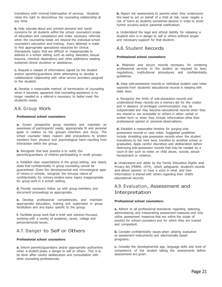transitions with minimal interruption of services. Students retain the right to discontinue the counseling relationship at any time.

**b.** Help educate about and prevent personal and social concerns for all students within the school counselor's scope of education and competence and make necessary referrals when the counseling needs are beyond the individual school counselor's education and training. Every attempt is made to find appropriate specialized resources for clinical therapeutic topics that are difficult or inappropriate to address in a school setting such as eating disorders, sexual trauma, chemical dependency and other addictions needing sustained clinical duration or assistance.

**c.** Request a release of information signed by the student and/or parents/guardians when attempting to develop a collaborative relationship with other service providers assigned to the student.

**d.** Develop a reasonable method of termination of counseling when it becomes apparent that counseling assistance is no longer needed or a referral is necessary to better meet the student's needs.

# A.6. Group Work

#### **Professional school counselors:**

**a.** Screen prospective group members and maintain an awareness of participants' needs, appropriate fit and personal goals in relation to the group's intention and focus. The school counselor takes reason- able precautions to protect members from physical and psychological harm resulting from interaction within the group.

**b.** Recognize that best practice is to notify the parents/guardians of children participating in small groups.

**c.** Establish clear expectations in the group setting, and clearly state that confidentiality in group counseling cannot be guaranteed. Given the developmental and chronological ages of minors in schools, recognize the tenuous nature of confidentiality for minors renders some topics inappropriate for group work in a school setting.

**d.** Provide necessary follow up with group members, and document proceedings as appropriate.

**e.** Develop professional competencies, and maintain appropriate education, training and supervision in group facilitation and any topics specific to the group.

**f.** Facilitate group work that is brief and solution-focused, working with a variety of academic, career, college and personal/social issues.

# A.7. Danger to Self or Others

#### **Professional school counselors:**

**a.** Inform parents/guardians and/or appropriate authorities when a student poses a danger to self or others. This is to be done after careful deliberation and consultation with other counseling professionals.

**b.** Report risk assessments to parents when they underscore the need to act on behalf of a child at risk; never negate a risk of harm as students sometimes deceive in order to avoid further scrutiny and/or parental notification.

**c.** Understand the legal and ethical liability for releasing a student who is in danger to self or others without proper and necessary support for that student.

### A.8. Student Records

#### **Professional school counselors:**

**a.** Maintain and secure records necessary for rendering professional services to the student as required by laws, regulations, institutional procedures and confidentiality guidelines.

**b.** Keep sole-possession records or individual student case notes separate from students' educational records in keeping with state laws.

**c.** Recognize the limits of sole-possession records and understand these records are a memory aid for the creator and in absence of privileged communication may be subpoenaed and may become educational records when they are shared or are accessible to others in either verbal or written form or when they include information other than professional opinion or personal observations.

**d.** Establish a reasonable timeline for purging solepossession records or case notes. Suggested guidelines include shredding sole possession records when the student transitions to the next level, transfers to another school or graduates. Apply careful discretion and deliberation before destroying sole-possession records that may be needed by a court of law such as notes on child abuse, suicide, sexual harassment or violence.

**e.** Understand and abide by the Family Education Rights and Privacy Act (FERPA, 1974), which safeguards student's records and allows parents to have a voice in what and how information is shared with others regarding their child's educational records.

# A.9. Evaluation, Assessment and Interpretation

#### **Professional school counselors:**

**a.** Adhere to all professional standards regarding selecting, administering and interpreting assessment measures and only utilize assessment measures that are within the scope of practice for school counselors and for which they are trained and competent.

**b.** Consider confidentiality issues when utilizing evaluative or assessment instruments and electronically based programs.

**c.** Consider the developmental age, language skills and level of competence of the student taking the assessments before assessments are given.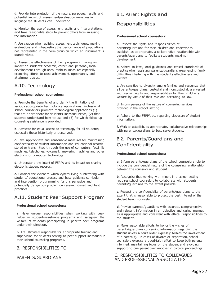**d.** Provide interpretation of the nature, purposes, results and potential impact of assessment/evaluation measures in language the students can understand.

**e.** Monitor the use of assessment results and interpretations, and take reasonable steps to prevent others from misusing the information.

**f.** Use caution when utilizing assessment techniques, making evaluations and interpreting the performance of populations not represented in the norm group on which an instrument is standardized.

**g.** Assess the effectiveness of their program in having an impact on students' academic, career and personal/social development through accountability measures especially examining efforts to close achievement, opportunity and attainment gaps.

# A.10. Technology

#### **Professional school counselors:**

**a.** Promote the benefits of and clarify the limitations of various appropriate technological applications. Professional school counselors promote technological applications (1) that are appropriate for students' individual needs, (2) that students understand how to use and (3) for which follow-up counseling assistance is provided.

**b.** Advocate for equal access to technology for all students, especially those historically underserved.

**c.** Take appropriate and reasonable measures for maintaining confidentiality of student information and educational records stored or transmitted through the use of computers, facsimile machines, telephones, voicemail, answering machines and other electronic or computer technology.

**d.** Understand the intent of FERPA and its impact on sharing electronic student records.

**e.** Consider the extent to which cyberbullying is interfering with students' educational process and base guidance curriculum and intervention programming for this pervasive and potentially dangerous problem on research-based and best practices.

# A.11. Student Peer Support Program

#### **Professional school counselors:**

**a.** Have unique responsibilities when working with peerhelper or student-assistance programs and safeguard the welfare of students participating in peer-to-peer programs under their direction.

**b.** Are ultimately responsible for appropriate training and supervision for students serving as peer-support individuals in their school counseling programs.

# B. RESPONSIBILITIES TO

# PARENTS/GUARDIANS

# B.1. Parent Rights and

# Responsibilities

#### **Professional school counselors:**

**a.** Respect the rights and responsibilities of parents/guardians for their children and endeavor to establish, as appropriate, a collaborative relationship with parents/guardians to facilitate students' maximum development.

**b.** Adhere to laws, local guidelines and ethical standards of practice when assisting parents/guardians experiencing family difficulties interfering with the student's effectiveness and welfare.

**c.** Are sensitive to diversity among families and recognize that all parents/guardians, custodial and noncustodial, are vested with certain rights and responsibilities for their children's welfare by virtue of their role and according to law.

**d.** Inform parents of the nature of counseling services provided in the school setting.

**e.** Adhere to the FERPA act regarding disclosure of student information.

**f.** Work to establish, as appropriate, collaborative relationships with parents/guardians to best serve student.

# B.2. Parents/Guardians and **Confidentiality**

#### **Professional school counselors:**

**a.** Inform parents/guardians of the school counselor's role to include the confidential nature of the counseling relationship between the counselor and student.

**b.** Recognize that working with minors in a school setting requires school counselors to collaborate with students' parents/guardians to the extent possible.

**c.** Respect the confidentiality of parents/guardians to the extent that is reasonable to protect the best interest of the student being counseled.

**d.** Provide parents/guardians with accurate, comprehensive and relevant information in an objective and caring manner, as is appropriate and consistent with ethical responsibilities to the student.

**e.** Make reasonable efforts to honor the wishes of parents/guardians concerning information regarding the student unless a court order expressly forbids the involvement of a parent(s). In cases of divorce or separation, school counselors exercise a good-faith effort to keep both parents informed, maintaining focus on the student and avoiding supporting one parent over another in divorce proceedings.

#### C. RESPONSIBILITIES TO COLLEAGUES AND PROFESSIONAL ASSOCIATES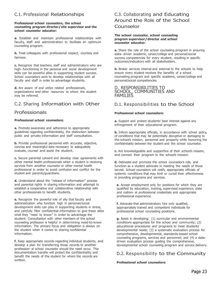# C.1. Professional Relationships

#### **Professional school counselors, the school counseling program director/site supervisor and the school counselor educator:**

**a.** Establish and maintain professional relationships with faculty, staff and administration to facilitate an optimum counseling program.

**b.** Treat colleagues with professional respect, courtesy and fairness.

**c.** Recognize that teachers, staff and administrators who are high- functioning in the personal and social development skills can be powerful allies in supporting student success. School counselors work to develop relationships with all faculty and staff in order to advantage students.

**d.** Are aware of and utilize related professionals, organizations and other resources to whom the student may be referred.

# C.2. Sharing Information with Other

# Professionals

#### **Professional school counselors:**

**a.** Promote awareness and adherence to appropriate guidelines regarding confidentiality, the distinction between public and private information and staff consultation.

**b.** Provide professional personnel with accurate, objective, concise and meaningful data necessary to adequately evaluate, counsel and assist the student.

**c.** Secure parental consent and develop clear agreements with other mental health professionals when a student is receiving services from another counselor or other mental health professional in order to avoid confusion and conflict for the student and parents/guardians.

**d.** Understand about the "release of information" process and parental rights in sharing information and attempt to establish a cooperative and collaborative relationship with other professionals to benefit students.

**e.** Recognize the powerful role of ally that faculty and administration who function high in personal/social development skills can play in supporting students in stress, and carefully filter confidential information to give these allies what they "need to know" in order to advantage the student. Consultation with other members of the school counseling profession is helpful in determining need-to-know information. The primary focus and obligation is always on the student when it comes to sharing confidential information.

**f.** Keep appropriate records regarding individual students, and develop a plan for transferring those records to another profession- al school counselor should the need occur. This documentation transfer will protect the confidentiality and benefit the needs of the student for whom the records are written.

# C.3. Collaborating and Educating Around the Role of the School Counselor

#### **The school counselor, school counseling program supervisor/director and school counselor educator:**

**a.** Share the role of the school counseling program in ensuring data- driven academic, career/college and personal/social success competencies for every student, resulting in specific outcomes/indicators with all stakeholders.

**b.** Broker services internal and external to the schools to help ensure every student receives the benefits of a school counseling program and specific academic, career/college and personal/social competencies.

#### D. RESPONSIBILITIES TO SCHOOL, COMMUNITIES AND FAMILIES

# D.1. Responsibilities to the School

#### **Professional school counselors:**

**a.** Support and protect students' best interest against any infringement of their educational program.

**b.** Inform appropriate officials, in accordance with school policy, of conditions that may be potentially disruptive or damaging to the school's mission, personnel and property while honoring the confidentiality between the student and the school counselor.

**c.** Are knowledgeable and supportive of their school's mission, and connect their program to the school's mission.

**d.** Delineate and promote the school counselor's role, and function as a student advocate in meeting the needs of those served. School counselors will notify appropriate officials of systemic conditions that may limit or curtail their effectiveness in providing programs and services.

**e.** Accept employment only for positions for which they are qualified by education, training, supervised experience, state and nation- al professional credentials and appropriate professional experience.

**f.** Advocate that administrators hire only qualified, appropriately trained and competent individuals for professional school counseling positions.

**g.** Assist in developing: (1) curricular and environmental conditions appropriate for the school and community; (2) educational procedures and programs to meet students' developmental needs; (3) a systematic evaluation process for comprehensive, developmental, standards-based school counseling programs, services and personnel; and (4) a datadriven evaluation process guiding the comprehensive, developmental school counseling program and service delivery.

# D.2. Responsibility to the Community

#### **Professional school counselors:**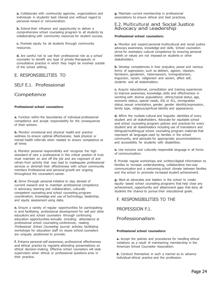**a.** Collaborate with community agencies, organizations and individuals in students' best interest and without regard to personal reward or remuneration.

**b.** Extend their influence and opportunity to deliver a comprehensive school counseling program to all students by collaborating with community resources for student success.

**c.** Promote equity for all students through community resources.

**d.** Are careful not to use their professional role as a school counselor to benefit any type of private therapeutic or consultative practice in which they might be involved outside of the school setting.

# E. RESPONSIBILITIES TO

# SELF E.1. Professional

# **Competence**

#### **Professional school counselors:**

**a.** Function within the boundaries of individual professional competence and accept responsibility for the consequences of their actions.

**b.** Monitor emotional and physical health and practice wellness to ensure optimal effectiveness. Seek physical or mental health referrals when needed to ensure competence at all times

**c.** Monitor personal responsibility and recognize the high standard of care a professional in this critical position of trust must maintain on and off the job and are cognizant of and refrain from activity that may lead to inadequate professional services or diminish their effectiveness with school community members Professional and personal growth are ongoing throughout the counselor's career.

**d.** Strive through personal initiative to stay abreast of current research and to maintain professional competence in advocacy, teaming and collaboration, culturally competent counseling and school counseling program coordination, knowledge and use of technology, leadership, and equity assessment using data.

**e.** Ensure a variety of regular opportunities for participating in and facilitating professional development for self and other educators and school counselors through continuing education opportunities annually including: attendance at professional school counseling conferences; reading Professional School Counseling journal articles; facilitating workshops for education staff on issues school counselors are uniquely positioned to provide.

**f.** Enhance personal self-awareness, professional effectiveness and ethical practice by regularly attending presentations on ethical decision-making. Effective school counselors will seek supervision when ethical or professional questions arise in their practice.

**g.** Maintain current membership in professional associations to ensure ethical and best practices.

#### E.2. Multicultural and Social Justice Advocacy and Leadership

#### **Professional school counselors:**

**a.** Monitor and expand personal multicultural and social justice advocacy awareness, knowledge and skills. School counselors strive for exemplary cultural competence by ensuring personal beliefs or values are not imposed on students or other stakeholders.

**b.** Develop competencies in how prejudice, power and various forms of oppression, such as ableism, ageism, classism, familyism, genderism, heterosexism, immigrationism, linguicism, racism, religionism and sexism, affect self, students and all stakeholders.

**c.** Acquire educational, consultation and training experiences to improve awareness, knowledge, skills and effectiveness in working with diverse populations: ethnic/racial status, age, economic status, special needs, ESL or ELL, immigration status, sexual orientation, gender, gender identity/expression, family type, religious/spiritual identity and appearance.

**d.** Affirm the multiple cultural and linguistic identities of every student and all stakeholders. Advocate for equitable school and school counseling program policies and practices for every student and all stakeholders including use of translators and bilingual/multilingual school counseling program materials that represent all languages used by families in the school community, and advocate for appropriate accommodations and accessibility for students with disabilities.

**e.** Use inclusive and culturally responsible language in all forms of communication.

**f.** Provide regular workshops and written/digital information to families to increase understanding, collaborative two-way communication and a welcoming school climate between families and the school to promote increased student achievement.

**g.** Work as advocates and leaders in the school to create equity- based school counseling programs that help close any achievement, opportunity and attainment gaps that deny all students the chance to pursue their educational goals.

# F. RESPONSIBILITIES TO THE

PROFESSION F.1.

# Professionalism

#### **Professional school counselors:**

**a.** Accept the policies and procedures for handling ethical violations as a result of maintaining membership in the American School Counselor Association.

**b.** Conduct themselves in such a manner as to advance individual ethical practice and the profession.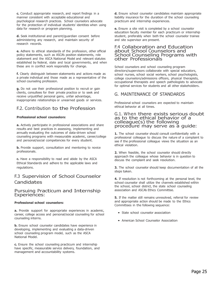**c.** Conduct appropriate research, and report findings in a manner consistent with acceptable educational and psychological research practices. School counselors advocate for the protection of individual students' identities when using data for research or program planning.

**d.** Seek institutional and parent/guardian consent before administering any research, and maintain security of research records.

**e.** Adhere to ethical standards of the profession, other official policy statements, such as ASCA's position statements, role statement and the ASCA National Model and relevant statutes established by federal, state and local governments, and when these are in conflict work responsibly for change.

**f.** Clearly distinguish between statements and actions made as a private individual and those made as a representative of the school counseling profession.

**g.** Do not use their professional position to recruit or gain clients, consultees for their private practice or to seek and receive unjustified personal gains, unfair advantage, inappropriate relationships or unearned goods or services.

# F.2. Contribution to the Profession

#### **Professional school counselors:**

**a.** Actively participate in professional associations and share results and best practices in assessing, implementing and annually evaluating the outcomes of data-driven school counseling programs with measurable academic, career/college and personal/social competencies for every student.

**b.** Provide support, consultation and mentoring to novice professionals.

**c.** Have a responsibility to read and abide by the ASCA Ethical Standards and adhere to the applicable laws and regulations.

# F.3 Supervision of School Counselor **Candidates**

#### Pursuing Practicum and Internship Experiences:

#### **Professional school counselors:**

**a.** Provide support for appropriate experiences in academic, career, college access and personal/social counseling for school counseling interns.

**b.** Ensure school counselor candidates have experience in developing, implementing and evaluating a data-driven school counseling program model, such as the ASCA National Model.

**c.** Ensure the school counseling practicum and internship have specific, measurable service delivery, foundation, and management and accountability systems.

**d.** Ensure school counselor candidates maintain appropriate liability insurance for the duration of the school counseling practicum and internship experiences.

**e.** Ensure a site visit is completed by a school counselor education faculty member for each practicum or internship student, preferably when both the school counselor trainee and site supervisor are present.

#### F.4 Collaboration and Education about School Counselors and School Counseling Programs with other Professionals

School counselors and school counseling program directors/supervisors collaborate with special educators, school nurses, school social workers, school psychologists, college counselors/admissions officers, physical therapists, occupational therapists and speech pathologists to advocate for optimal services for students and all other stakeholders.

# G. MAINTENANCE OF STANDARDS

Professional school counselors are expected to maintain ethical behavior at all times.

#### G.1. When there exists serious doubt as to the ethical behavior of a colleague(s) the following procedure may serve as a guide:

**1.** The school counselor should consult confidentially with a professional colleague to discuss the nature of a complaint to see if the professional colleague views the situation as an ethical violation.

**2.** When feasible, the school counselor should directly approach the colleague whose behavior is in question to discuss the complaint and seek resolution.

**3.** The school counselor should keep documentation of all the steps taken.

**4.** If resolution is not forthcoming at the personal level, the school counselor shall utilize the channels established within the school, school district, the state school counseling association and ASCA's Ethics Committee.

**5.** If the matter still remains unresolved, referral for review and appropriate action should be made to the Ethics Committees in the following sequence:

- State school counselor association
- American School Counselor Association